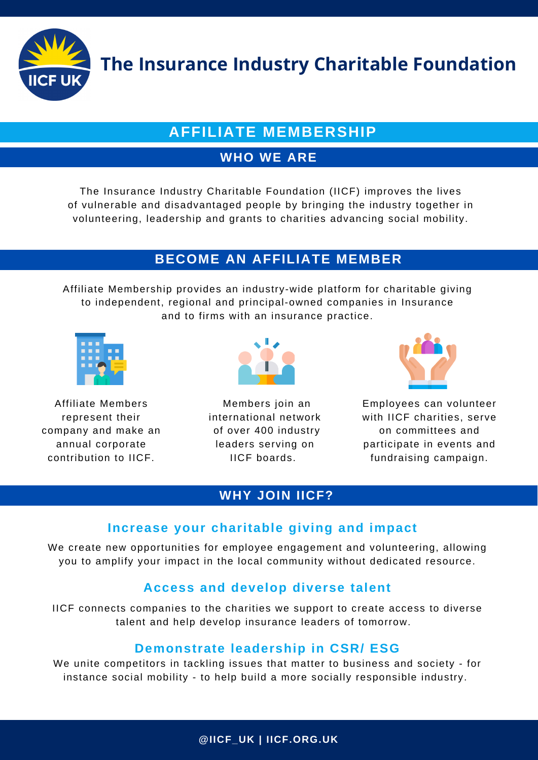

**The Insurance Industry Charitable Foundation**

# **AFFILIATE MEMBERSHIP**

## **WHO WE ARE**

The Insurance Industry Charitable Foundation (IICF) improves the lives of vulnerable and disadvantaged people by bringing the industry together in volunteering, leadership and grants to charities advancing social mobility.

## **BECOME AN AFFILIATE MEMBER**

**Summary of the Stories** Affiliate Membership provides an industry-wide platform for charitable giving to independent, regional and principal-owned companies in Insurance and to firms with an insurance practice.



Affiliate Members represent their company and make an annual corporate contribution to IICF.



Members join an international network of over 400 industry leaders serving on IICF boards.



Employees can volunteer with IICF charities, serve on committees and participate in events and fundraising campaign.

## **WHY JOIN IICF?**

## **Increase your charitable giving and impact**

We create new opportunities for employee engagement and volunteering, allowing you to amplify your impact in the local community without dedicated resource.

## **Access and develop diverse talent**

IICF connects companies to the charities we support to create access to diverse talent and help develop insurance leaders of tomorrow.

## **Demonstrate leadership in CSR/ ESG**

We unite competitors in tackling issues that matter to business and society - for instance social mobility - to help build a more socially responsible industry.

**@IICF\_UK | IICF.ORG.UK**